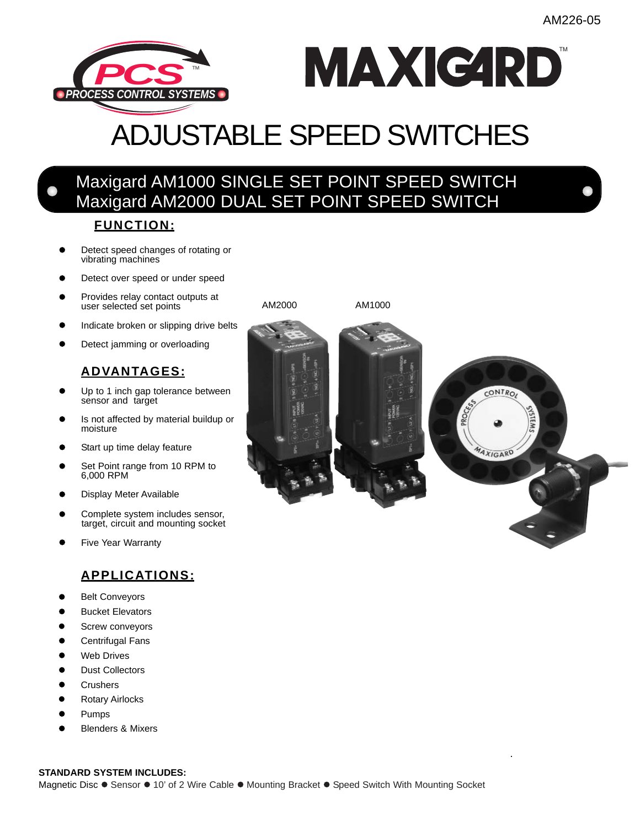



# Maxigard AM1000 SINGLE SET POINT SPEED SWITCH Maxigard AM2000 DUAL SET POINT SPEED SWITCH

## **FUNCTION:**

- Detect speed changes of rotating or vibrating machines
- Detect over speed or under speed
- **•** Provides relay contact outputs at user selected set points
- Indicate broken or slipping drive belts
- Detect jamming or overloading

## **ADVANTAGES:**

- Up to 1 inch gap tolerance between sensor and target
- Is not affected by material buildup or moisture
- Start up time delay feature
- Set Point range from 10 RPM to 6,000 RPM
- Display Meter Available
- Complete system includes sensor, target, circuit and mounting socket
- Five Year Warranty

## **APPLICATIONS:**

- **•** Belt Conveyors
- **•** Bucket Elevators
- Screw conveyors
- **•** Centrifugal Fans
- **•** Web Drives
- **Dust Collectors**
- **•** Crushers
- **•** Rotary Airlocks
- **Pumps**
- **Blenders & Mixers**



**MAXIC4RD**